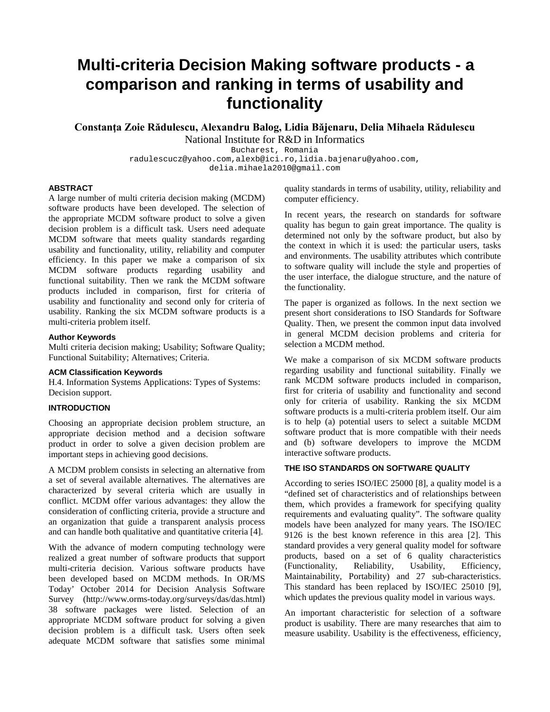# **Multi-criteria Decision Making software products - a comparison and ranking in terms of usability and functionality**

**Constanţa Zoie Rădulescu, Alexandru Balog, Lidia Băjenaru, Delia Mihaela Rădulescu** National Institute for R&D in Informatics

Bucharest, Romania

radulescucz@yahoo.com,alexb@ici.ro,lidia.bajenaru@yahoo.com,

[delia.mihaela2010@gmail.com](mailto:delia.mihaela2010@gmail.com)

## **ABSTRACT**

A large number of multi criteria decision making (MCDM) software products have been developed. The selection of the appropriate MCDM software product to solve a given decision problem is a difficult task. Users need adequate MCDM software that meets quality standards regarding usability and functionality, utility, reliability and computer efficiency. In this paper we make a comparison of six MCDM software products regarding usability and functional suitability. Then we rank the MCDM software products included in comparison, first for criteria of usability and functionality and second only for criteria of usability. Ranking the six MCDM software products is a multi-criteria problem itself.

#### **Author Keywords**

Multi criteria decision making; Usability; Software Quality; Functional Suitability; Alternatives; Criteria.

#### **ACM Classification Keywords**

H.4. Information Systems Applications: Types of Systems: Decision support.

# **INTRODUCTION**

Choosing an appropriate decision problem structure, an appropriate decision method and a decision software product in order to solve a given decision problem are important steps in achieving good decisions.

A MCDM problem consists in selecting an alternative from a set of several available alternatives. The alternatives are characterized by several criteria which are usually in conflict. MCDM offer various advantages: they allow the consideration of conflicting criteria, provide a structure and an organization that guide a transparent analysis process and can handle both qualitative and quantitative criteria [4].

With the advance of modern computing technology were realized a great number of software products that support multi-criteria decision. Various software products have been developed based on MCDM methods. In OR/MS Today' October 2014 for Decision Analysis Software Survey (http://www.orms-today.org/surveys/das/das.html) 38 software packages were listed. Selection of an appropriate MCDM software product for solving a given decision problem is a difficult task. Users often seek adequate MCDM software that satisfies some minimal quality standards in terms of usability, utility, reliability and computer efficiency.

In recent years, the research on standards for software quality has begun to gain great importance. The quality is determined not only by the software product, but also by the context in which it is used: the particular users, tasks and environments. The usability attributes which contribute to software quality will include the style and properties of the user interface, the dialogue structure, and the nature of the functionality.

The paper is organized as follows. In the next section we present short considerations to ISO Standards for Software Quality. Then, we present the common input data involved in general MCDM decision problems and criteria for selection a MCDM method.

We make a comparison of six MCDM software products regarding usability and functional suitability. Finally we rank MCDM software products included in comparison, first for criteria of usability and functionality and second only for criteria of usability. Ranking the six MCDM software products is a multi-criteria problem itself. Our aim is to help (a) potential users to select a suitable MCDM software product that is more compatible with their needs and (b) software developers to improve the MCDM interactive software products.

#### **THE ISO STANDARDS ON SOFTWARE QUALITY**

According to series ISO/IEC 25000 [8], a quality model is a "defined set of characteristics and of relationships between them, which provides a framework for specifying quality requirements and evaluating quality". The software quality models have been analyzed for many years. The ISO/IEC 9126 is the best known reference in this area [2]. This standard provides a very general quality model for software products, based on a set of 6 quality characteristics (Functionality, Reliability, Usability, Efficiency, Maintainability, Portability) and 27 sub-characteristics. This standard has been replaced by ISO/IEC 25010 [9], which updates the previous quality model in various ways.

An important characteristic for selection of a software product is usability. There are many researches that aim to measure usability. Usability is the effectiveness, efficiency,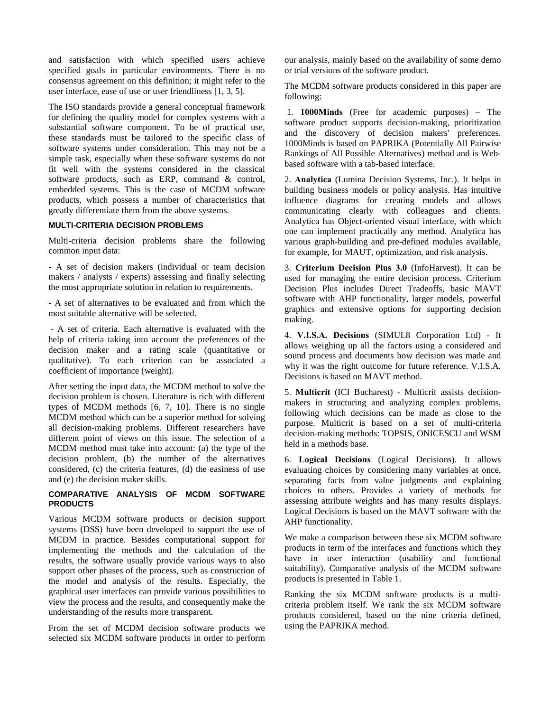and satisfaction with which specified users achieve specified goals in particular environments. There is no consensus agreement on this definition; it might refer to the user interface, ease of use or user friendliness [1, 3, 5].

The ISO standards provide a general conceptual framework for defining the quality model for complex systems with a substantial software component. To be of practical use, these standards must be tailored to the specific class of software systems under consideration. This may not be a simple task, especially when these software systems do not fit well with the systems considered in the classical software products, such as ERP, command & control, embedded systems. This is the case of MCDM software products, which possess a number of characteristics that greatly differentiate them from the above systems.

# **MULTI-CRITERIA DECISION PROBLEMS**

Multi-criteria decision problems share the following common input data:

- A set of decision makers (individual or team decision makers / analysts / experts) assessing and finally selecting the most appropriate solution in relation to requirements.

- A set of alternatives to be evaluated and from which the most suitable alternative will be selected.

- A set of criteria. Each alternative is evaluated with the help of criteria taking into account the preferences of the decision maker and a rating scale (quantitative or qualitative). To each criterion can be associated a coefficient of importance (weight).

After setting the input data, the MCDM method to solve the decision problem is chosen. Literature is rich with different types of MCDM methods [6, 7, 10]. There is no single MCDM method which can be a superior method for solving all decision-making problems. Different researchers have different point of views on this issue. The selection of a MCDM method must take into account: (a) the type of the decision problem, (b) the number of the alternatives considered, (c) the criteria features, (d) the easiness of use and (e) the decision maker skills.

# **COMPARATIVE ANALYSIS OF MCDM SOFTWARE PRODUCTS**

Various MCDM software products or decision support systems (DSS) have been developed to support the use of MCDM in practice. Besides computational support for implementing the methods and the calculation of the results, the software usually provide various ways to also support other phases of the process, such as construction of the model and analysis of the results. Especially, the graphical user interfaces can provide various possibilities to view the process and the results, and consequently make the understanding of the results more transparent.

From the set of MCDM decision software products we selected six MCDM software products in order to perform our analysis, mainly based on the availability of some demo or trial versions of the software product.

The MCDM software products considered in this paper are following:

1. **1000Minds** (Free for academic purposes) – The software product supports decision-making, prioritization and the discovery of decision makers' preferences. 1000Minds is based on PAPRIKA (Potentially All Pairwise Rankings of All Possible Alternatives) method and is Webbased software with a tab-based interface.

2. **Analytica** (Lumina Decision Systems, Inc.). It helps in building business models or policy analysis. Has intuitive influence diagrams for creating models and allows communicating clearly with colleagues and clients. Analytica has Object-oriented visual interface, with which one can implement practically any method. Analytica has various graph-building and pre-defined modules available, for example, for MAUT, optimization, and risk analysis.

3. **Criterium Decision Plus 3.0** (InfoHarvest). It can be used for managing the entire decision process. Criterium Decision Plus includes Direct Tradeoffs, basic MAVT software with AHP functionality, larger models, powerful graphics and extensive options for supporting decision making.

4. **V.I.S.A. Decisions** (SIMUL8 Corporation Ltd) - It allows weighing up all the factors using a considered and sound process and documents how decision was made and why it was the right outcome for future reference. V.I.S.A. Decisions is based on MAVT method.

5. **Multicrit** (ICI Bucharest) - Multicrit assists decisionmakers in structuring and analyzing complex problems, following which decisions can be made as close to the purpose. Multicrit is based on a set of multi-criteria decision-making methods: TOPSIS, ONICESCU and WSM held in a methods base.

6. **Logical Decisions** (Logical Decisions). It allows evaluating choices by considering many variables at once, separating facts from value judgments and explaining choices to others. Provides a variety of methods for assessing attribute weights and has many results displays. Logical Decisions is based on the MAVT software with the AHP functionality.

We make a comparison between these six MCDM software products in term of the interfaces and functions which they have in user interaction (usability and functional suitability). Comparative analysis of the MCDM software products is presented in Table 1.

Ranking the six MCDM software products is a multicriteria problem itself. We rank the six MCDM software products considered, based on the nine criteria defined, using the PAPRIKA method.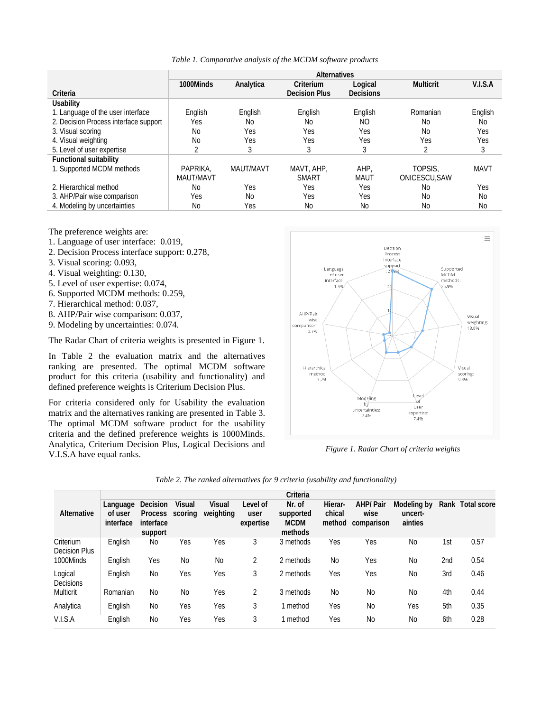*Table 1. Comparative analysis of the MCDM software products*

|                                       | <b>Alternatives</b> |            |                      |                  |                  |             |  |  |
|---------------------------------------|---------------------|------------|----------------------|------------------|------------------|-------------|--|--|
|                                       | 1000Minds           | Analytica  | Criterium            | Logical          | <b>Multicrit</b> | V.I.S.A     |  |  |
| Criteria                              |                     |            | <b>Decision Plus</b> | <b>Decisions</b> |                  |             |  |  |
| <b>Usability</b>                      |                     |            |                      |                  |                  |             |  |  |
| 1. Language of the user interface     | English             | English    | English              | English          | Romanian         | English     |  |  |
| 2. Decision Process interface support | Yes                 | No.        | No.                  | NO               | N <sub>0</sub>   | No          |  |  |
| 3. Visual scoring                     | No                  | Yes        | Yes                  | Yes              | N <sub>0</sub>   | Yes         |  |  |
| 4. Visual weighting                   | N <sub>0</sub>      | Yes        | Yes                  | Yes              | Yes              | Yes         |  |  |
| 5. Level of user expertise            | 2                   | 3          |                      | 3                | 2                | 3           |  |  |
| <b>Functional suitability</b>         |                     |            |                      |                  |                  |             |  |  |
| 1. Supported MCDM methods             | PAPRIKA.            | MAUT/MAVT  | MAVT, AHP,           | AHP.             | TOPSIS.          | <b>MAVT</b> |  |  |
|                                       | MAUT/MAVT           |            | <b>SMART</b>         | MAUT             | ONICESCU.SAW     |             |  |  |
| 2. Hierarchical method                | No                  | <b>Yes</b> | Yes                  | Yes              | No               | Yes         |  |  |
| 3. AHP/Pair wise comparison           | Yes                 | No         | Yes                  | Yes              | No               | <b>No</b>   |  |  |
| 4. Modeling by uncertainties          | No                  | Yes        | No                   | No               | Νo               | <b>No</b>   |  |  |

The preference weights are:

- 1. Language of user interface: 0.019,
- 2. Decision Process interface support: 0.278,
- 3. Visual scoring: 0.093,
- 4. Visual weighting: 0.130,
- 5. Level of user expertise: 0.074,
- 6. Supported MCDM methods: 0.259,
- 7. Hierarchical method: 0.037,
- 8. AHP/Pair wise comparison: 0.037,
- 9. Modeling by uncertainties: 0.074.

The Radar Chart of criteria weights is presented in Figure 1.

In Table 2 the evaluation matrix and the alternatives ranking are presented. The optimal MCDM software product for this criteria (usability and functionality) and defined preference weights is Criterium Decision Plus.

For criteria considered only for Usability the evaluation matrix and the alternatives ranking are presented in Table 3. The optimal MCDM software product for the usability criteria and the defined preference weights is 1000Minds. Analytica, Criterium Decision Plus, Logical Decisions and V.I.S.A have equal ranks. *Figure 1. Radar Chart of criteria weights*



|                                   | Criteria                         |                                                    |                          |                            |                               |                                               |                             |                                       |                                   |     |                  |
|-----------------------------------|----------------------------------|----------------------------------------------------|--------------------------|----------------------------|-------------------------------|-----------------------------------------------|-----------------------------|---------------------------------------|-----------------------------------|-----|------------------|
| Alternative                       | Language<br>of user<br>interface | <b>Decision</b><br>Process<br>interface<br>support | <b>Visual</b><br>scoring | <b>Visual</b><br>weighting | Level of<br>user<br>expertise | Nr. of<br>supported<br><b>MCDM</b><br>methods | Hierar-<br>chical<br>method | <b>AHP/Pair</b><br>wise<br>comparison | Modeling by<br>uncert-<br>ainties |     | Rank Total score |
| Criterium<br><b>Decision Plus</b> | English                          | No                                                 | Yes                      | Yes                        | 3                             | 3 methods                                     | Yes                         | Yes                                   | N <sub>0</sub>                    | 1st | 0.57             |
| 1000Minds                         | English                          | Yes                                                | No                       | No                         | 2                             | 2 methods                                     | No                          | Yes                                   | N <sub>0</sub>                    | 2nd | 0.54             |
| Logical<br><b>Decisions</b>       | English                          | No                                                 | Yes                      | Yes                        | 3                             | 2 methods                                     | Yes                         | Yes                                   | N <sub>0</sub>                    | 3rd | 0.46             |
| Multicrit                         | Romanian                         | <b>No</b>                                          | <b>No</b>                | Yes                        | 2                             | 3 methods                                     | No                          | <b>No</b>                             | <b>No</b>                         | 4th | 0.44             |
| Analytica                         | English                          | No                                                 | Yes                      | Yes                        | 3                             | 1 method                                      | Yes                         | <b>No</b>                             | Yes                               | 5th | 0.35             |
| V.I.S.A                           | English                          | No                                                 | Yes                      | Yes                        | 3                             | 1 method                                      | Yes                         | <b>No</b>                             | N <sub>0</sub>                    | 6th | 0.28             |

*Table 2. The ranked alternatives for 9 criteria (usability and functionality)*